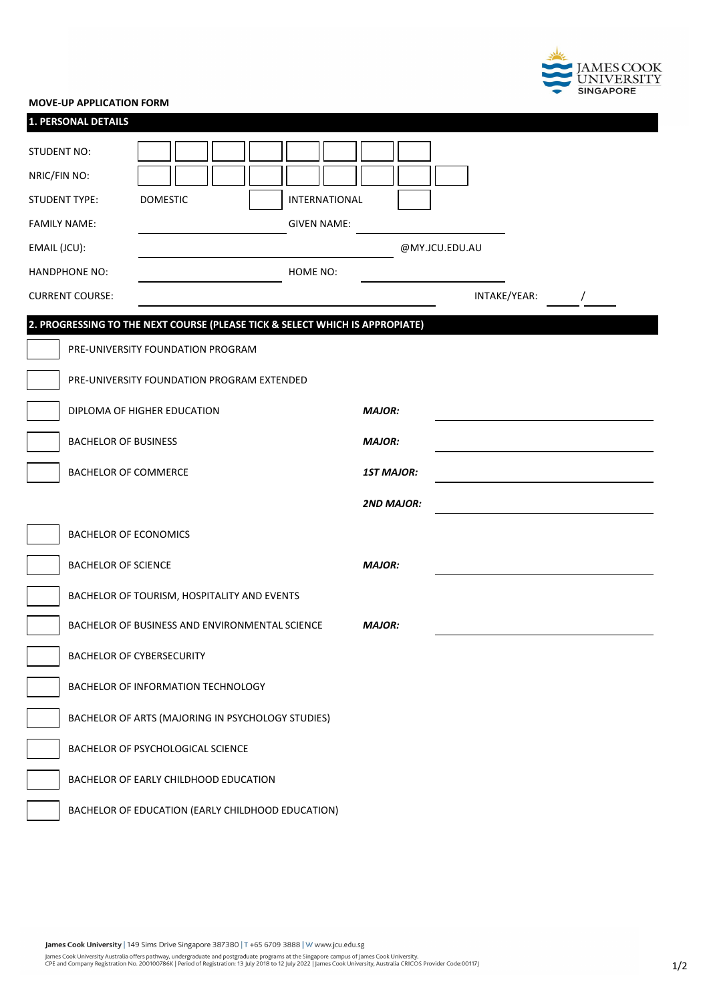

## **MOVE-UP APPLICATION FORM**

| 1. PERSONAL DETAILS                                                          |                                                   |                   |                |  |  |  |
|------------------------------------------------------------------------------|---------------------------------------------------|-------------------|----------------|--|--|--|
| STUDENT NO:                                                                  |                                                   |                   |                |  |  |  |
| NRIC/FIN NO:                                                                 |                                                   |                   |                |  |  |  |
| STUDENT TYPE:                                                                | <b>DOMESTIC</b><br>INTERNATIONAL                  |                   |                |  |  |  |
| <b>FAMILY NAME:</b>                                                          | <b>GIVEN NAME:</b>                                |                   |                |  |  |  |
| EMAIL (JCU):                                                                 |                                                   |                   | @MY.JCU.EDU.AU |  |  |  |
| <b>HANDPHONE NO:</b>                                                         | HOME NO:                                          |                   |                |  |  |  |
| <b>CURRENT COURSE:</b>                                                       |                                                   |                   | INTAKE/YEAR:   |  |  |  |
| 2. PROGRESSING TO THE NEXT COURSE (PLEASE TICK & SELECT WHICH IS APPROPIATE) |                                                   |                   |                |  |  |  |
|                                                                              | PRE-UNIVERSITY FOUNDATION PROGRAM                 |                   |                |  |  |  |
|                                                                              | PRE-UNIVERSITY FOUNDATION PROGRAM EXTENDED        |                   |                |  |  |  |
|                                                                              | DIPLOMA OF HIGHER EDUCATION                       | <b>MAJOR:</b>     |                |  |  |  |
| <b>BACHELOR OF BUSINESS</b>                                                  |                                                   | <b>MAJOR:</b>     |                |  |  |  |
| <b>BACHELOR OF COMMERCE</b>                                                  |                                                   | <b>1ST MAJOR:</b> |                |  |  |  |
|                                                                              |                                                   | <b>2ND MAJOR:</b> |                |  |  |  |
|                                                                              | <b>BACHELOR OF ECONOMICS</b>                      |                   |                |  |  |  |
| <b>BACHELOR OF SCIENCE</b>                                                   |                                                   | <b>MAJOR:</b>     |                |  |  |  |
|                                                                              | BACHELOR OF TOURISM, HOSPITALITY AND EVENTS       |                   |                |  |  |  |
|                                                                              | BACHELOR OF BUSINESS AND ENVIRONMENTAL SCIENCE    |                   |                |  |  |  |
|                                                                              | <b>BACHELOR OF CYBERSECURITY</b>                  |                   |                |  |  |  |
|                                                                              | BACHELOR OF INFORMATION TECHNOLOGY                |                   |                |  |  |  |
|                                                                              | BACHELOR OF ARTS (MAJORING IN PSYCHOLOGY STUDIES) |                   |                |  |  |  |
|                                                                              | BACHELOR OF PSYCHOLOGICAL SCIENCE                 |                   |                |  |  |  |
|                                                                              | BACHELOR OF EARLY CHILDHOOD EDUCATION             |                   |                |  |  |  |
|                                                                              | BACHELOR OF EDUCATION (EARLY CHILDHOOD EDUCATION) |                   |                |  |  |  |